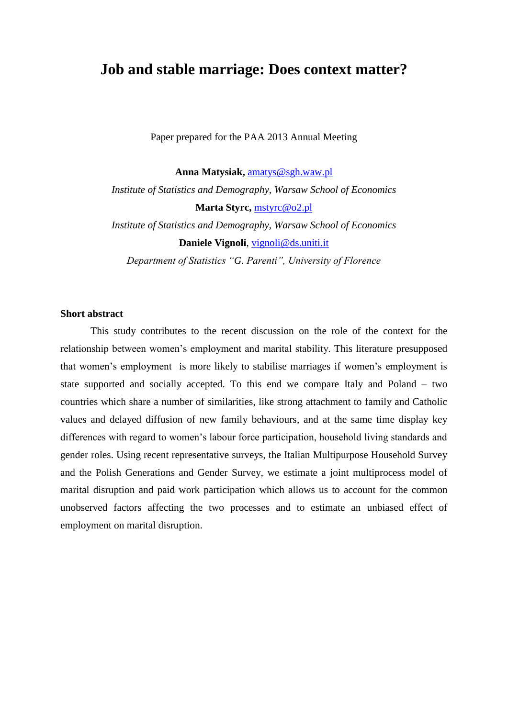## **Job and stable marriage: Does context matter?**

Paper prepared for the PAA 2013 Annual Meeting

**Anna Matysiak,** [amatys@sgh.waw.pl](mailto:amatys@sgh.waw.pl) *Institute of Statistics and Demography, Warsaw School of Economics* **Marta Styrc,** [mstyrc@o2.pl](mailto:mstyrc@o2.pl) *Institute of Statistics and Demography, Warsaw School of Economics* **Daniele Vignoli**, [vignoli@ds.uniti.it](mailto:vignoli@ds.uniti.it)

*Department of Statistics "G. Parenti", University of Florence*

## **Short abstract**

This study contributes to the recent discussion on the role of the context for the relationship between women's employment and marital stability. This literature presupposed that women's employment is more likely to stabilise marriages if women's employment is state supported and socially accepted. To this end we compare Italy and Poland – two countries which share a number of similarities, like strong attachment to family and Catholic values and delayed diffusion of new family behaviours, and at the same time display key differences with regard to women's labour force participation, household living standards and gender roles. Using recent representative surveys, the Italian Multipurpose Household Survey and the Polish Generations and Gender Survey, we estimate a joint multiprocess model of marital disruption and paid work participation which allows us to account for the common unobserved factors affecting the two processes and to estimate an unbiased effect of employment on marital disruption.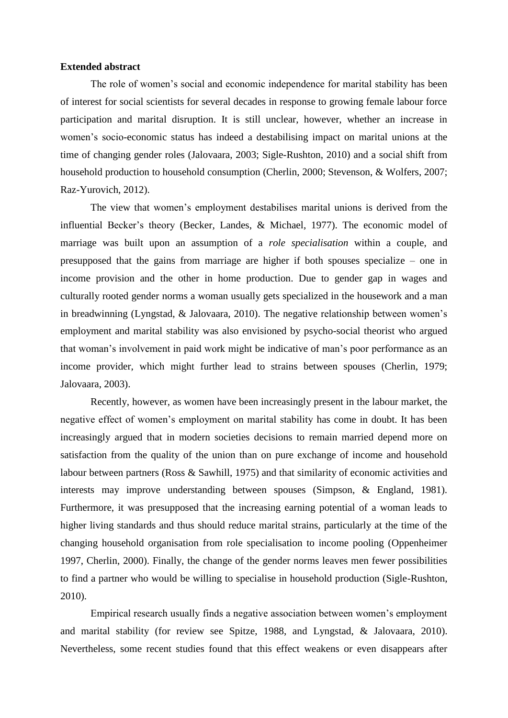## **Extended abstract**

The role of women's social and economic independence for marital stability has been of interest for social scientists for several decades in response to growing female labour force participation and marital disruption. It is still unclear, however, whether an increase in women's socio-economic status has indeed a destabilising impact on marital unions at the time of changing gender roles (Jalovaara, 2003; Sigle-Rushton, 2010) and a social shift from household production to household consumption (Cherlin, 2000; Stevenson, & Wolfers, 2007; Raz-Yurovich, 2012).

The view that women's employment destabilises marital unions is derived from the influential Becker's theory (Becker, Landes, & Michael, 1977). The economic model of marriage was built upon an assumption of a *role specialisation* within a couple, and presupposed that the gains from marriage are higher if both spouses specialize – one in income provision and the other in home production. Due to gender gap in wages and culturally rooted gender norms a woman usually gets specialized in the housework and a man in breadwinning (Lyngstad, & Jalovaara, 2010). The negative relationship between women's employment and marital stability was also envisioned by psycho-social theorist who argued that woman's involvement in paid work might be indicative of man's poor performance as an income provider, which might further lead to strains between spouses (Cherlin, 1979; Jalovaara, 2003).

Recently, however, as women have been increasingly present in the labour market, the negative effect of women's employment on marital stability has come in doubt. It has been increasingly argued that in modern societies decisions to remain married depend more on satisfaction from the quality of the union than on pure exchange of income and household labour between partners (Ross & Sawhill, 1975) and that similarity of economic activities and interests may improve understanding between spouses (Simpson, & England, 1981). Furthermore, it was presupposed that the increasing earning potential of a woman leads to higher living standards and thus should reduce marital strains, particularly at the time of the changing household organisation from role specialisation to income pooling (Oppenheimer 1997, Cherlin, 2000). Finally, the change of the gender norms leaves men fewer possibilities to find a partner who would be willing to specialise in household production (Sigle-Rushton, 2010).

Empirical research usually finds a negative association between women's employment and marital stability (for review see Spitze, 1988, and Lyngstad, & Jalovaara, 2010). Nevertheless, some recent studies found that this effect weakens or even disappears after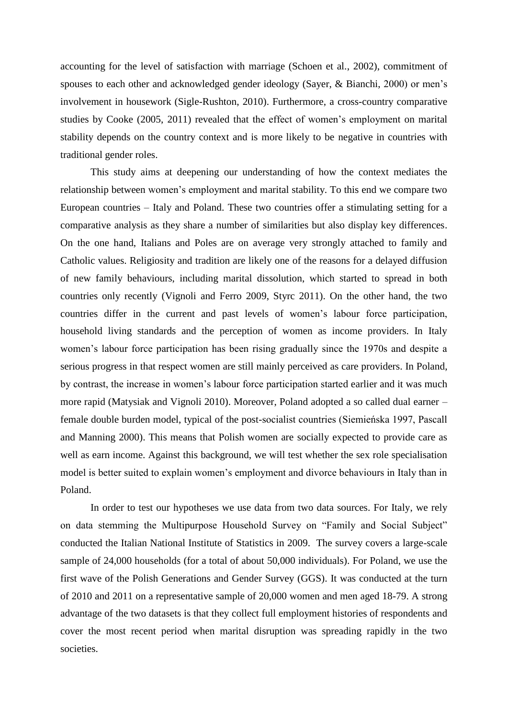accounting for the level of satisfaction with marriage (Schoen et al., 2002), commitment of spouses to each other and acknowledged gender ideology (Sayer, & Bianchi, 2000) or men's involvement in housework (Sigle-Rushton, 2010). Furthermore, a cross-country comparative studies by Cooke (2005, 2011) revealed that the effect of women's employment on marital stability depends on the country context and is more likely to be negative in countries with traditional gender roles.

This study aims at deepening our understanding of how the context mediates the relationship between women's employment and marital stability. To this end we compare two European countries – Italy and Poland. These two countries offer a stimulating setting for a comparative analysis as they share a number of similarities but also display key differences. On the one hand, Italians and Poles are on average very strongly attached to family and Catholic values. Religiosity and tradition are likely one of the reasons for a delayed diffusion of new family behaviours, including marital dissolution, which started to spread in both countries only recently (Vignoli and Ferro 2009, Styrc 2011). On the other hand, the two countries differ in the current and past levels of women's labour force participation, household living standards and the perception of women as income providers. In Italy women's labour force participation has been rising gradually since the 1970s and despite a serious progress in that respect women are still mainly perceived as care providers. In Poland, by contrast, the increase in women's labour force participation started earlier and it was much more rapid (Matysiak and Vignoli 2010). Moreover, Poland adopted a so called dual earner – female double burden model, typical of the post-socialist countries (Siemieńska 1997, Pascall and Manning 2000). This means that Polish women are socially expected to provide care as well as earn income. Against this background, we will test whether the sex role specialisation model is better suited to explain women's employment and divorce behaviours in Italy than in Poland.

In order to test our hypotheses we use data from two data sources. For Italy, we rely on data stemming the Multipurpose Household Survey on "Family and Social Subject" conducted the Italian National Institute of Statistics in 2009. The survey covers a large-scale sample of 24,000 households (for a total of about 50,000 individuals). For Poland, we use the first wave of the Polish Generations and Gender Survey (GGS). It was conducted at the turn of 2010 and 2011 on a representative sample of 20,000 women and men aged 18-79. A strong advantage of the two datasets is that they collect full employment histories of respondents and cover the most recent period when marital disruption was spreading rapidly in the two societies.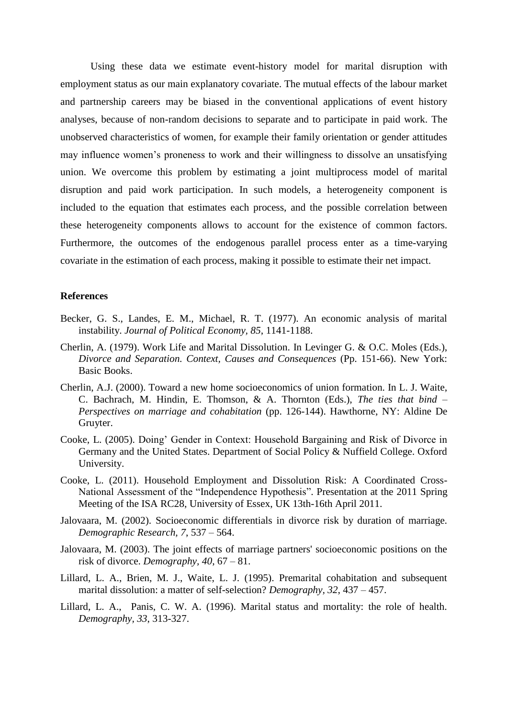Using these data we estimate event-history model for marital disruption with employment status as our main explanatory covariate. The mutual effects of the labour market and partnership careers may be biased in the conventional applications of event history analyses, because of non-random decisions to separate and to participate in paid work. The unobserved characteristics of women, for example their family orientation or gender attitudes may influence women's proneness to work and their willingness to dissolve an unsatisfying union. We overcome this problem by estimating a joint multiprocess model of marital disruption and paid work participation. In such models, a heterogeneity component is included to the equation that estimates each process, and the possible correlation between these heterogeneity components allows to account for the existence of common factors. Furthermore, the outcomes of the endogenous parallel process enter as a time-varying covariate in the estimation of each process, making it possible to estimate their net impact.

## **References**

- Becker, G. S., Landes, E. M., Michael, R. T. (1977). An economic analysis of marital instability. *Journal of Political Economy, 85*, 1141-1188.
- Cherlin, A. (1979). Work Life and Marital Dissolution. In Levinger G. & O.C. Moles (Eds.), *Divorce and Separation. Context, Causes and Consequences* (Pp. 151-66). New York: Basic Books.
- Cherlin, A.J. (2000). Toward a new home socioeconomics of union formation. In L. J. Waite, C. Bachrach, M. Hindin, E. Thomson, & A. Thornton (Eds.), *The ties that bind – Perspectives on marriage and cohabitation* (pp. 126-144). Hawthorne, NY: Aldine De Gruyter.
- Cooke, L. (2005). Doing' Gender in Context: Household Bargaining and Risk of Divorce in Germany and the United States. Department of Social Policy & Nuffield College. Oxford University.
- Cooke, L. (2011). Household Employment and Dissolution Risk: A Coordinated Cross-National Assessment of the "Independence Hypothesis". Presentation at the 2011 Spring Meeting of the ISA RC28, University of Essex, UK 13th-16th April 2011.
- Jalovaara, M. (2002). Socioeconomic differentials in divorce risk by duration of marriage. *Demographic Research, 7*, 537 – 564.
- Jalovaara, M. (2003). The joint effects of marriage partners' socioeconomic positions on the risk of divorce. *Demography, 40*, 67 – 81.
- Lillard, L. A., Brien, M. J., Waite, L. J. (1995). Premarital cohabitation and subsequent marital dissolution: a matter of self-selection? *Demography, 32*, 437 – 457.
- Lillard, L. A., Panis, C. W. A. (1996). Marital status and mortality: the role of health. *Demography, 33*, 313-327.